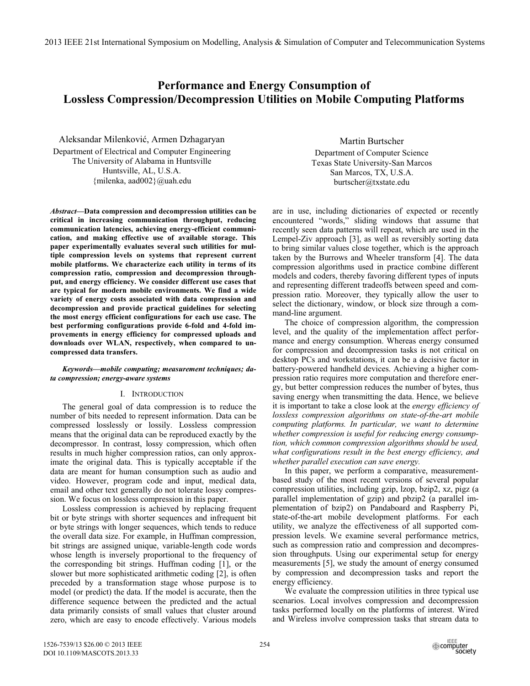2013 IEEE 21st International Symposium on Modelling, Analysis & Simulation of Computer and Telecommunication Systems

# **Performance and Energy Consumption of Lossless Compression/Decompression Utilities on Mobile Computing Platforms**

Aleksandar Milenković, Armen Dzhagaryan Department of Electrical and Computer Engineering The University of Alabama in Huntsville Huntsville, AL, U.S.A. {milenka, aad002}@uah.edu

*Abstract***—Data compression and decompression utilities can be critical in increasing communication throughput, reducing communication latencies, achieving energy-efficient communication, and making effective use of available storage. This paper experimentally evaluates several such utilities for multiple compression levels on systems that represent current mobile platforms. We characterize each utility in terms of its compression ratio, compression and decompression throughput, and energy efficiency. We consider different use cases that are typical for modern mobile environments. We find a wide variety of energy costs associated with data compression and decompression and provide practical guidelines for selecting the most energy efficient configurations for each use case. The best performing configurations provide 6-fold and 4-fold improvements in energy efficiency for compressed uploads and downloads over WLAN, respectively, when compared to uncompressed data transfers.** 

# *Keywords—mobile computing; measurement techniques; data compression; energy-aware systems*

# I. INTRODUCTION

The general goal of data compression is to reduce the number of bits needed to represent information. Data can be compressed losslessly or lossily. Lossless compression means that the original data can be reproduced exactly by the decompressor. In contrast, lossy compression, which often results in much higher compression ratios, can only approximate the original data. This is typically acceptable if the data are meant for human consumption such as audio and video. However, program code and input, medical data, email and other text generally do not tolerate lossy compression. We focus on lossless compression in this paper.

Lossless compression is achieved by replacing frequent bit or byte strings with shorter sequences and infrequent bit or byte strings with longer sequences, which tends to reduce the overall data size. For example, in Huffman compression, bit strings are assigned unique, variable-length code words whose length is inversely proportional to the frequency of the corresponding bit strings. Huffman coding [1], or the slower but more sophisticated arithmetic coding [2], is often preceded by a transformation stage whose purpose is to model (or predict) the data. If the model is accurate, then the difference sequence between the predicted and the actual data primarily consists of small values that cluster around zero, which are easy to encode effectively. Various models

Martin Burtscher Department of Computer Science Texas State University-San Marcos San Marcos, TX, U.S.A. burtscher@txstate.edu

are in use, including dictionaries of expected or recently encountered "words," sliding windows that assume that recently seen data patterns will repeat, which are used in the Lempel-Ziv approach [3], as well as reversibly sorting data to bring similar values close together, which is the approach taken by the Burrows and Wheeler transform [4]. The data compression algorithms used in practice combine different models and coders, thereby favoring different types of inputs and representing different tradeoffs between speed and compression ratio. Moreover, they typically allow the user to select the dictionary, window, or block size through a command-line argument.

The choice of compression algorithm, the compression level, and the quality of the implementation affect performance and energy consumption. Whereas energy consumed for compression and decompression tasks is not critical on desktop PCs and workstations, it can be a decisive factor in battery-powered handheld devices. Achieving a higher compression ratio requires more computation and therefore energy, but better compression reduces the number of bytes, thus saving energy when transmitting the data. Hence, we believe it is important to take a close look at the *energy efficiency of lossless compression algorithms on state-of-the-art mobile computing platforms. In particular, we want to determine whether compression is useful for reducing energy consumption, which common compression algorithms should be used, what configurations result in the best energy efficiency, and whether parallel execution can save energy.*

In this paper, we perform a comparative, measurementbased study of the most recent versions of several popular compression utilities, including gzip, lzop, bzip2, xz, pigz (a parallel implementation of gzip) and pbzip2 (a parallel implementation of bzip2) on Pandaboard and Raspberry Pi, state-of-the-art mobile development platforms. For each utility, we analyze the effectiveness of all supported compression levels. We examine several performance metrics, such as compression ratio and compression and decompression throughputs. Using our experimental setup for energy measurements [5], we study the amount of energy consumed by compression and decompression tasks and report the energy efficiency.

We evaluate the compression utilities in three typical use scenarios. Local involves compression and decompression tasks performed locally on the platforms of interest. Wired and Wireless involve compression tasks that stream data to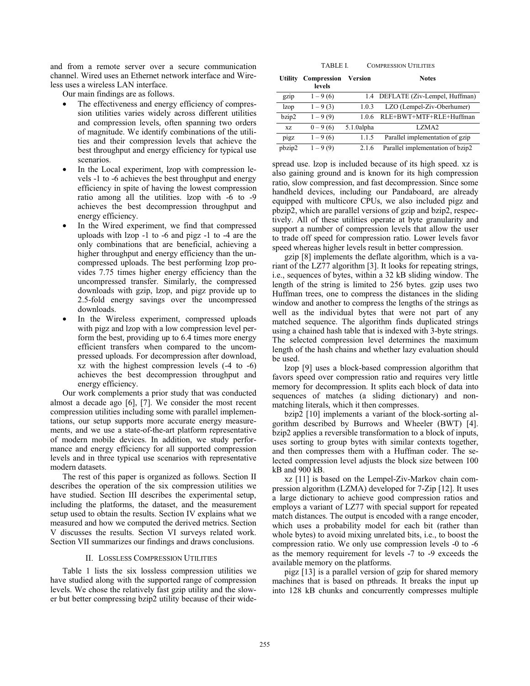and from a remote server over a secure communication channel. Wired uses an Ethernet network interface and Wireless uses a wireless LAN interface.

Our main findings are as follows.

- The effectiveness and energy efficiency of compression utilities varies widely across different utilities and compression levels, often spanning two orders of magnitude. We identify combinations of the utilities and their compression levels that achieve the best throughput and energy efficiency for typical use scenarios.
- In the Local experiment, Izop with compression levels -1 to -6 achieves the best throughput and energy efficiency in spite of having the lowest compression ratio among all the utilities. lzop with -6 to -9 achieves the best decompression throughput and energy efficiency.
- In the Wired experiment, we find that compressed uploads with lzop -1 to -6 and pigz -1 to -4 are the only combinations that are beneficial, achieving a higher throughput and energy efficiency than the uncompressed uploads. The best performing lzop provides 7.75 times higher energy efficiency than the uncompressed transfer. Similarly, the compressed downloads with gzip, lzop, and pigz provide up to 2.5-fold energy savings over the uncompressed downloads.
- In the Wireless experiment, compressed uploads with pigz and lzop with a low compression level perform the best, providing up to 6.4 times more energy efficient transfers when compared to the uncompressed uploads. For decompression after download, xz with the highest compression levels (-4 to -6) achieves the best decompression throughput and energy efficiency.

Our work complements a prior study that was conducted almost a decade ago [6], [7]. We consider the most recent compression utilities including some with parallel implementations, our setup supports more accurate energy measurements, and we use a state-of-the-art platform representative of modern mobile devices. In addition, we study performance and energy efficiency for all supported compression levels and in three typical use scenarios with representative modern datasets.

The rest of this paper is organized as follows. Section II describes the operation of the six compression utilities we have studied. Section III describes the experimental setup, including the platforms, the dataset, and the measurement setup used to obtain the results. Section IV explains what we measured and how we computed the derived metrics. Section V discusses the results. Section VI surveys related work. Section VII summarizes our findings and draws conclusions.

### II. LOSSLESS COMPRESSION UTILITIES

Table 1 lists the six lossless compression utilities we have studied along with the supported range of compression levels. We chose the relatively fast gzip utility and the slower but better compressing bzip2 utility because of their wide-

TABLE I. COMPRESSION UTILITIES

| Utility     | Compression<br>levels | Version    | <b>Notes</b>                      |
|-------------|-----------------------|------------|-----------------------------------|
| gzip        | $1 - 9(6)$            |            | 1.4 DEFLATE (Ziv-Lempel, Huffman) |
| <i>lzop</i> | $1 - 9(3)$            | 1.0.3      | LZO (Lempel-Ziv-Oberhumer)        |
| bzip2       | $1 - 9(9)$            | 1.0.6      | RLE+BWT+MTF+RLE+Huffman           |
| XZ          | $0 - 9(6)$            | 5.1.0alpha | LZMA <sub>2</sub>                 |
| pigz        | $1 - 9(6)$            | 1.1.5      | Parallel implementation of gzip   |
| pbzip2      | $1 - 9(9)$            | 2.1.6      | Parallel implementation of bzip2  |

spread use. lzop is included because of its high speed. xz is also gaining ground and is known for its high compression ratio, slow compression, and fast decompression. Since some handheld devices, including our Pandaboard, are already equipped with multicore CPUs, we also included pigz and pbzip2, which are parallel versions of gzip and bzip2, respectively. All of these utilities operate at byte granularity and support a number of compression levels that allow the user to trade off speed for compression ratio. Lower levels favor speed whereas higher levels result in better compression.

gzip [8] implements the deflate algorithm, which is a variant of the LZ77 algorithm [3]. It looks for repeating strings, i.e., sequences of bytes, within a 32 kB sliding window. The length of the string is limited to 256 bytes. gzip uses two Huffman trees, one to compress the distances in the sliding window and another to compress the lengths of the strings as well as the individual bytes that were not part of any matched sequence. The algorithm finds duplicated strings using a chained hash table that is indexed with 3-byte strings. The selected compression level determines the maximum length of the hash chains and whether lazy evaluation should be used.

lzop [9] uses a block-based compression algorithm that favors speed over compression ratio and requires very little memory for decompression. It splits each block of data into sequences of matches (a sliding dictionary) and nonmatching literals, which it then compresses.

bzip2 [10] implements a variant of the block-sorting algorithm described by Burrows and Wheeler (BWT) [4]. bzip2 applies a reversible transformation to a block of inputs, uses sorting to group bytes with similar contexts together, and then compresses them with a Huffman coder. The selected compression level adjusts the block size between 100 kB and 900 kB.

xz [11] is based on the Lempel-Ziv-Markov chain compression algorithm (LZMA) developed for 7-Zip [12]. It uses a large dictionary to achieve good compression ratios and employs a variant of LZ77 with special support for repeated match distances. The output is encoded with a range encoder, which uses a probability model for each bit (rather than whole bytes) to avoid mixing unrelated bits, i.e., to boost the compression ratio. We only use compression levels -0 to -6 as the memory requirement for levels -7 to -9 exceeds the available memory on the platforms.

pigz [13] is a parallel version of gzip for shared memory machines that is based on pthreads. It breaks the input up into 128 kB chunks and concurrently compresses multiple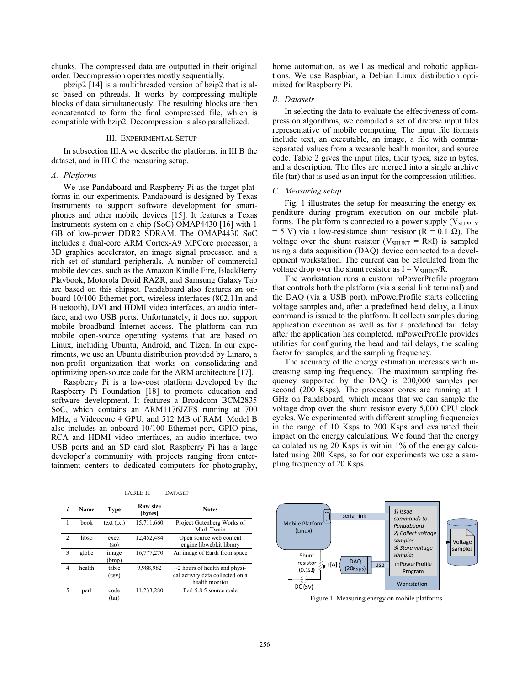chunks. The compressed data are outputted in their original order. Decompression operates mostly sequentially.

pbzip2 [14] is a multithreaded version of bzip2 that is also based on pthreads. It works by compressing multiple blocks of data simultaneously. The resulting blocks are then concatenated to form the final compressed file, which is compatible with bzip2. Decompression is also parallelized.

### III. EXPERIMENTAL SETUP

In subsection III.A we describe the platforms, in III.B the dataset, and in III.C the measuring setup.

### *A. Platforms*

We use Pandaboard and Raspberry Pi as the target platforms in our experiments. Pandaboard is designed by Texas Instruments to support software development for smartphones and other mobile devices [15]. It features a Texas Instruments system-on-a-chip (SoC) OMAP4430 [16] with 1 GB of low-power DDR2 SDRAM. The OMAP4430 SoC includes a dual-core ARM Cortex-A9 MPCore processor, a 3D graphics accelerator, an image signal processor, and a rich set of standard peripherals. A number of commercial mobile devices, such as the Amazon Kindle Fire, BlackBerry Playbook, Motorola Droid RAZR, and Samsung Galaxy Tab are based on this chipset. Pandaboard also features an onboard 10/100 Ethernet port, wireless interfaces (802.11n and Bluetooth), DVI and HDMI video interfaces, an audio interface, and two USB ports. Unfortunately, it does not support mobile broadband Internet access. The platform can run mobile open-source operating systems that are based on Linux, including Ubuntu, Android, and Tizen. In our experiments, we use an Ubuntu distribution provided by Linaro, a non-profit organization that works on consolidating and optimizing open-source code for the ARM architecture [17].

Raspberry Pi is a low-cost platform developed by the Raspberry Pi Foundation [18] to promote education and software development. It features a Broadcom BCM2835 SoC, which contains an ARM1176JZFS running at 700 MHz, a Videocore 4 GPU, and 512 MB of RAM. Model B also includes an onboard 10/100 Ethernet port, GPIO pins, RCA and HDMI video interfaces, an audio interface, two USB ports and an SD card slot. Raspberry Pi has a large developer's community with projects ranging from entertainment centers to dedicated computers for photography,

| i             | Name   | <b>Type</b>     | Raw size<br>[bytes] | <b>Notes</b>                                                                              |  |
|---------------|--------|-----------------|---------------------|-------------------------------------------------------------------------------------------|--|
| 1             | book   | text (txt)      | 15,711,660          | Project Gutenberg Works of<br>Mark Twain                                                  |  |
| $\mathcal{D}$ | libso  | exec.<br>$(so)$ | 12,452,484          | Open source web content<br>engine libwebkit library                                       |  |
| 3             | globe  | image<br>(bmp)  | 16,777,270          | An image of Earth from space                                                              |  |
| 4             | health | table<br>(csv)  | 9,988,982           | $\sim$ 2 hours of health and physi-<br>cal activity data collected on a<br>health monitor |  |
| 5             | perl   | code<br>(tar)   | 11,233,280          | Perl 5.8.5 source code                                                                    |  |

TABLE II. DATASET

home automation, as well as medical and robotic applications. We use Raspbian, a Debian Linux distribution optimized for Raspberry Pi.

# *B. Datasets*

In selecting the data to evaluate the effectiveness of compression algorithms, we compiled a set of diverse input files representative of mobile computing. The input file formats include text, an executable, an image, a file with commaseparated values from a wearable health monitor, and source code. Table 2 gives the input files, their types, size in bytes, and a description. The files are merged into a single archive file (tar) that is used as an input for the compression utilities.

### *C. Measuring setup*

Fig. 1 illustrates the setup for measuring the energy expenditure during program execution on our mobile platforms. The platform is connected to a power supply  $(V_{\text{SUPPLY}})$  $= 5$  V) via a low-resistance shunt resistor (R = 0.1  $\Omega$ ). The voltage over the shunt resistor ( $V_{\text{SHUNT}} = R \times I$ ) is sampled using a data acquisition (DAQ) device connected to a development workstation. The current can be calculated from the voltage drop over the shunt resistor as  $I = V_{\text{SHINT}}/R$ .

The workstation runs a custom mPowerProfile program that controls both the platform (via a serial link terminal) and the DAQ (via a USB port). mPowerProfile starts collecting voltage samples and, after a predefined head delay, a Linux command is issued to the platform. It collects samples during application execution as well as for a predefined tail delay after the application has completed. mPowerProfile provides utilities for configuring the head and tail delays, the scaling factor for samples, and the sampling frequency.

The accuracy of the energy estimation increases with increasing sampling frequency. The maximum sampling frequency supported by the DAQ is 200,000 samples per second (200 Ksps). The processor cores are running at 1 GHz on Pandaboard, which means that we can sample the voltage drop over the shunt resistor every 5,000 CPU clock cycles. We experimented with different sampling frequencies in the range of 10 Ksps to 200 Ksps and evaluated their impact on the energy calculations. We found that the energy calculated using 20 Ksps is within 1% of the energy calculated using 200 Ksps, so for our experiments we use a sampling frequency of 20 Ksps.



Figure 1. Measuring energy on mobile platforms.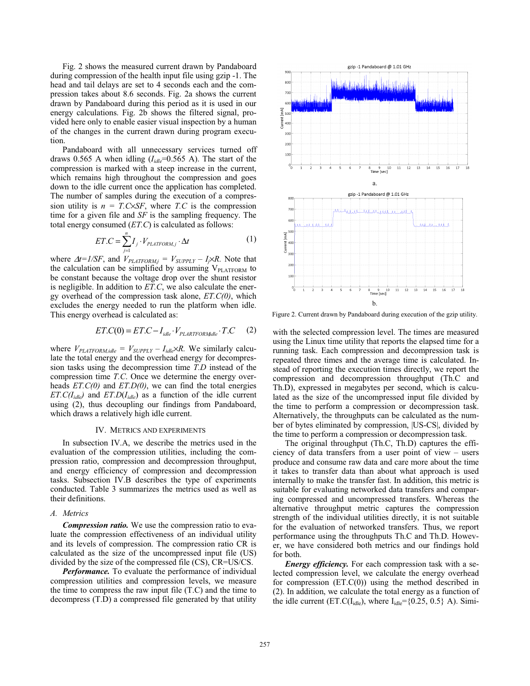Fig. 2 shows the measured current drawn by Pandaboard during compression of the health input file using gzip -1. The head and tail delays are set to 4 seconds each and the compression takes about 8.6 seconds. Fig. 2a shows the current drawn by Pandaboard during this period as it is used in our energy calculations. Fig. 2b shows the filtered signal, provided here only to enable easier visual inspection by a human of the changes in the current drawn during program execution.

Pandaboard with all unnecessary services turned off draws 0.565 A when idling  $(I_{idle} = 0.565 \text{ A})$ . The start of the compression is marked with a steep increase in the current, which remains high throughout the compression and goes down to the idle current once the application has completed. The number of samples during the execution of a compression utility is  $n = T.C\times SF$ , where *T.C* is the compression time for a given file and *SF* is the sampling frequency. The total energy consumed (*ET.C*) is calculated as follows:

$$
ET.C = \sum_{j=1}^{n} I_j \cdot V_{PLATFORM,j} \cdot \Delta t \tag{1}
$$

where  $\Delta t = 1/SF$ , and  $V_{PLATFORM,j} = V_{SUPPLY} - I_j \times R$ . Note that the calculation can be simplified by assuming  $V_{\text{PLATFORM}}$  to be constant because the voltage drop over the shunt resistor is negligible. In addition to *ET.C*, we also calculate the energy overhead of the compression task alone, *ET.C(0)*, which excludes the energy needed to run the platform when idle. This energy overhead is calculated as:

$$
ET.C(0) = ET.C - Iidle \cdot VPLARTFORMidle \cdot T.C (2)
$$

where  $V_{PLATFORM,idle} = V_{SUPPLY} - I_{idle} \times R$ . We similarly calculate the total energy and the overhead energy for decompression tasks using the decompression time *T.D* instead of the compression time *T.C*. Once we determine the energy overheads *ET.C(0)* and *ET.D(0)*, we can find the total energies *ET.C(I<sub>idle</sub>)* and *ET.D(I<sub>idle</sub>)* as a function of the idle current using (2), thus decoupling our findings from Pandaboard, which draws a relatively high idle current.

### IV. METRICS AND EXPERIMENTS

In subsection IV.A, we describe the metrics used in the evaluation of the compression utilities, including the compression ratio, compression and decompression throughput, and energy efficiency of compression and decompression tasks. Subsection IV.B describes the type of experiments conducted. Table 3 summarizes the metrics used as well as their definitions.

### *A. Metrics*

*Compression ratio.* We use the compression ratio to evaluate the compression effectiveness of an individual utility and its levels of compression. The compression ratio CR is calculated as the size of the uncompressed input file (US) divided by the size of the compressed file (CS), CR=US/CS.

*Performance.* To evaluate the performance of individual compression utilities and compression levels, we measure the time to compress the raw input file (T.C) and the time to decompress (T.D) a compressed file generated by that utility



Figure 2. Current drawn by Pandaboard during execution of the gzip utility.

with the selected compression level. The times are measured using the Linux time utility that reports the elapsed time for a running task. Each compression and decompression task is repeated three times and the average time is calculated. Instead of reporting the execution times directly, we report the compression and decompression throughput (Th.C and Th.D), expressed in megabytes per second, which is calculated as the size of the uncompressed input file divided by the time to perform a compression or decompression task. Alternatively, the throughputs can be calculated as the number of bytes eliminated by compression, |US-CS|, divided by the time to perform a compression or decompression task.

The original throughput (Th.C, Th.D) captures the efficiency of data transfers from a user point of view – users produce and consume raw data and care more about the time it takes to transfer data than about what approach is used internally to make the transfer fast. In addition, this metric is suitable for evaluating networked data transfers and comparing compressed and uncompressed transfers. Whereas the alternative throughput metric captures the compression strength of the individual utilities directly, it is not suitable for the evaluation of networked transfers. Thus, we report performance using the throughputs Th.C and Th.D. However, we have considered both metrics and our findings hold for both.

*Energy efficiency.* For each compression task with a selected compression level, we calculate the energy overhead for compression  $(ET.C(0))$  using the method described in (2). In addition, we calculate the total energy as a function of the idle current (ET.C( $I_{idle}$ ), where  $I_{idle} = \{0.25, 0.5\}$  A). Simi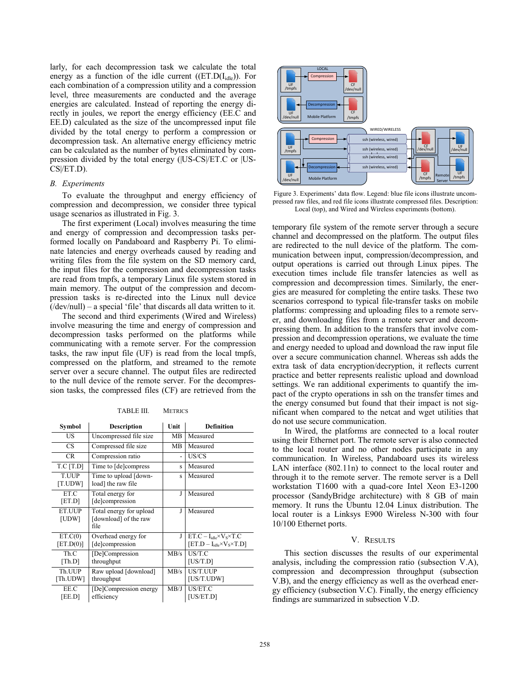larly, for each decompression task we calculate the total energy as a function of the idle current ( $(ET.D(I<sub>idle</sub>))$ ). For each combination of a compression utility and a compression level, three measurements are conducted and the average energies are calculated. Instead of reporting the energy directly in joules, we report the energy efficiency (EE.C and EE.D) calculated as the size of the uncompressed input file divided by the total energy to perform a compression or decompression task. An alternative energy efficiency metric can be calculated as the number of bytes eliminated by compression divided by the total energy (|US-CS|/ET.C or |US-CS|/ET.D).

# *B. Experiments*

To evaluate the throughput and energy efficiency of compression and decompression, we consider three typical usage scenarios as illustrated in Fig. 3.

The first experiment (Local) involves measuring the time and energy of compression and decompression tasks performed locally on Pandaboard and Raspberry Pi. To eliminate latencies and energy overheads caused by reading and writing files from the file system on the SD memory card, the input files for the compression and decompression tasks are read from tmpfs, a temporary Linux file system stored in main memory. The output of the compression and decompression tasks is re-directed into the Linux null device  $(dev/null)$  – a special 'file' that discards all data written to it.

The second and third experiments (Wired and Wireless) involve measuring the time and energy of compression and decompression tasks performed on the platforms while communicating with a remote server. For the compression tasks, the raw input file (UF) is read from the local tmpfs, compressed on the platform, and streamed to the remote server over a secure channel. The output files are redirected to the null device of the remote server. For the decompression tasks, the compressed files (CF) are retrieved from the

| Symbol                  | Description                                              | Unit | <b>Definition</b>                                                           |  |  |  |
|-------------------------|----------------------------------------------------------|------|-----------------------------------------------------------------------------|--|--|--|
| US                      | Uncompressed file size                                   | MВ   | Measured                                                                    |  |  |  |
| <b>CS</b>               | Compressed file size                                     | MВ   | Measured                                                                    |  |  |  |
| CR.                     | Compression ratio                                        | -    | US/CS                                                                       |  |  |  |
| T.C[T.D]                | Time to [de]compress                                     | S    | Measured                                                                    |  |  |  |
| <b>T.UUP</b><br>[T.UDW] | Time to upload [down-<br>load] the raw file              | S    | Measured                                                                    |  |  |  |
| ET.C<br>[ET.D]          | Total energy for<br>[de]compression                      | J    | Measured                                                                    |  |  |  |
| ET.UUP<br>[UDW]         | Total energy for upload<br>[download] of the raw<br>file | I    | Measured                                                                    |  |  |  |
| ET.C(0)<br>[ET.D(0)]    | Overhead energy for<br>[de]compression                   | J    | $ET.C-I_{idle}$ × $V_S$ × $TC$<br>$[ET.D - I_{idle} \times V_S \times T.D]$ |  |  |  |
| Th.C<br>[Th.D]          | [De]Compression<br>throughput                            | MB/s | US/T.C<br>[US/T.D]                                                          |  |  |  |
| Th.UUP<br>[Th.UDW]      | Raw upload [download]<br>throughput                      | MB/s | US/T.UUP<br>[US/T.UDW]                                                      |  |  |  |
| EE.C<br>[EE.D]          | [De]Compression energy<br>efficiency                     | MB/J | US/ET.C<br>[US/ET.D]                                                        |  |  |  |

TABLE III. METRICS



Figure 3. Experiments' data flow. Legend: blue file icons illustrate uncompressed raw files, and red file icons illustrate compressed files. Description: Local (top), and Wired and Wireless experiments (bottom).

temporary file system of the remote server through a secure channel and decompressed on the platform. The output files are redirected to the null device of the platform. The communication between input, compression/decompression, and output operations is carried out through Linux pipes. The execution times include file transfer latencies as well as compression and decompression times. Similarly, the energies are measured for completing the entire tasks. These two scenarios correspond to typical file-transfer tasks on mobile platforms: compressing and uploading files to a remote server, and downloading files from a remote server and decompressing them. In addition to the transfers that involve compression and decompression operations, we evaluate the time and energy needed to upload and download the raw input file over a secure communication channel. Whereas ssh adds the extra task of data encryption/decryption, it reflects current practice and better represents realistic upload and download settings. We ran additional experiments to quantify the impact of the crypto operations in ssh on the transfer times and the energy consumed but found that their impact is not significant when compared to the netcat and wget utilities that do not use secure communication.

In Wired, the platforms are connected to a local router using their Ethernet port. The remote server is also connected to the local router and no other nodes participate in any communication. In Wireless, Pandaboard uses its wireless LAN interface (802.11n) to connect to the local router and through it to the remote server. The remote server is a Dell workstation T1600 with a quad-core Intel Xeon E3-1200 processor (SandyBridge architecture) with 8 GB of main memory. It runs the Ubuntu 12.04 Linux distribution. The local router is a Linksys E900 Wireless N-300 with four 10/100 Ethernet ports.

# V. RESULTS

This section discusses the results of our experimental analysis, including the compression ratio (subsection V.A), compression and decompression throughput (subsection V.B), and the energy efficiency as well as the overhead energy efficiency (subsection V.C). Finally, the energy efficiency findings are summarized in subsection V.D.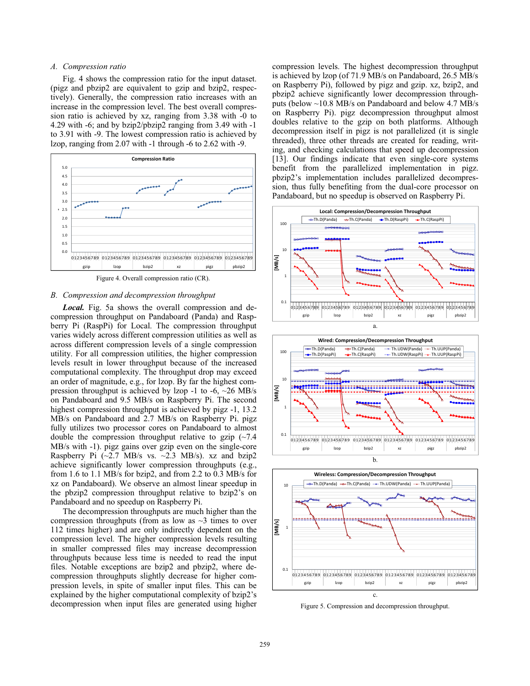# *A. Compression ratio*

Fig. 4 shows the compression ratio for the input dataset. (pigz and pbzip2 are equivalent to gzip and bzip2, respectively). Generally, the compression ratio increases with an increase in the compression level. The best overall compression ratio is achieved by xz, ranging from 3.38 with -0 to 4.29 with -6; and by bzip2/pbzip2 ranging from 3.49 with -1 to 3.91 with -9. The lowest compression ratio is achieved by lzop, ranging from 2.07 with -1 through -6 to 2.62 with -9.





### *B. Compression and decompression throughput*

*Local.* Fig. 5a shows the overall compression and decompression throughput on Pandaboard (Panda) and Raspberry Pi (RaspPi) for Local. The compression throughput varies widely across different compression utilities as well as across different compression levels of a single compression utility. For all compression utilities, the higher compression levels result in lower throughput because of the increased computational complexity. The throughput drop may exceed an order of magnitude, e.g., for lzop. By far the highest compression throughput is achieved by lzop -1 to -6,  $\sim$  26 MB/s on Pandaboard and 9.5 MB/s on Raspberry Pi. The second highest compression throughput is achieved by pigz -1, 13.2 MB/s on Pandaboard and 2.7 MB/s on Raspberry Pi. pigz fully utilizes two processor cores on Pandaboard to almost double the compression throughput relative to gzip  $(\sim 7.4)$ MB/s with -1). pigz gains over gzip even on the single-core Raspberry Pi  $(\sim 2.7 \text{ MB/s} \text{ vs. } \sim 2.3 \text{ MB/s})$ . xz and bzip2 achieve significantly lower compression throughputs (e.g., from 1.6 to 1.1 MB/s for bzip2, and from 2.2 to 0.3 MB/s for xz on Pandaboard). We observe an almost linear speedup in the pbzip2 compression throughput relative to bzip2's on Pandaboard and no speedup on Raspberry Pi.

The decompression throughputs are much higher than the compression throughputs (from as low as  $\sim$ 3 times to over 112 times higher) and are only indirectly dependent on the compression level. The higher compression levels resulting in smaller compressed files may increase decompression throughputs because less time is needed to read the input files. Notable exceptions are bzip2 and pbzip2, where decompression throughputs slightly decrease for higher compression levels, in spite of smaller input files. This can be explained by the higher computational complexity of bzip2's decompression when input files are generated using higher compression levels. The highest decompression throughput is achieved by lzop (of 71.9 MB/s on Pandaboard, 26.5 MB/s on Raspberry Pi), followed by pigz and gzip. xz, bzip2, and pbzip2 achieve significantly lower decompression throughputs (below ~10.8 MB/s on Pandaboard and below 4.7 MB/s on Raspberry Pi). pigz decompression throughput almost doubles relative to the gzip on both platforms. Although decompression itself in pigz is not parallelized (it is single threaded), three other threads are created for reading, writing, and checking calculations that speed up decompression [13]. Our findings indicate that even single-core systems benefit from the parallelized implementation in pigz. pbzip2's implementation includes parallelized decompression, thus fully benefiting from the dual-core processor on Pandaboard, but no speedup is observed on Raspberry Pi.







Figure 5. Compression and decompression throughput.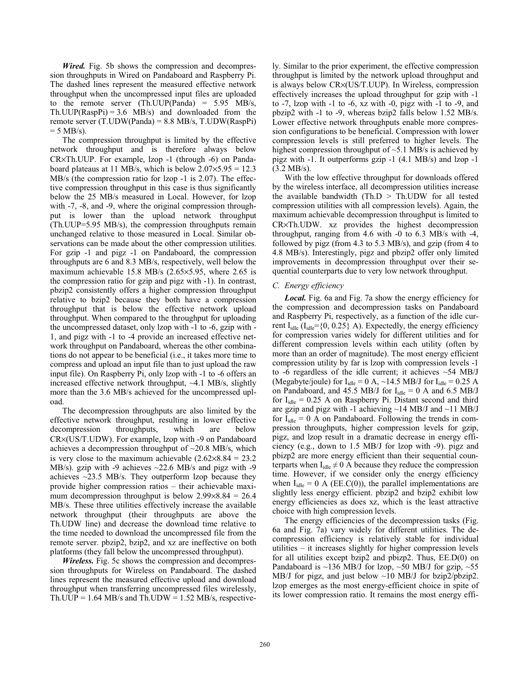*Wired.* Fig. 5b shows the compression and decompression throughputs in Wired on Pandaboard and Raspberry Pi. The dashed lines represent the measured effective network throughput when the uncompressed input files are uploaded to the remote server (Th.UUP(Panda) =  $5.95$  MB/s,  $Th.UUP(RaspPi) = 3.6 \text{ MB/s}$  and downloaded from the remote server (T.UDW(Panda) = 8.8 MB/s, T.UDW(RaspPi)  $= 5$  MB/s).

The compression throughput is limited by the effective network throughput and is therefore always below CR×Th.UUP. For example, lzop -1 (through -6) on Pandaboard plateaus at 11 MB/s, which is below  $2.07 \times 5.95 = 12.3$ MB/s (the compression ratio for lzop -1 is 2.07). The effective compression throughput in this case is thus significantly below the 25 MB/s measured in Local. However, for lzop with -7, -8, and -9, where the original compression throughput is lower than the upload network throughput (Th.UUP=5.95 MB/s), the compression throughputs remain unchanged relative to those measured in Local. Similar observations can be made about the other compression utilities. For gzip -1 and pigz -1 on Pandaboard, the compression throughputs are 6 and 8.3 MB/s, respectively, well below the maximum achievable 15.8 MB/s (2.65×5.95, where 2.65 is the compression ratio for gzip and pigz with -1). In contrast, pbzip2 consistently offers a higher compression throughput relative to bzip2 because they both have a compression throughput that is below the effective network upload throughput. When compared to the throughput for uploading the uncompressed dataset, only lzop with -1 to -6, gzip with - 1, and pigz with -1 to -4 provide an increased effective network throughput on Pandaboard, whereas the other combinations do not appear to be beneficial (i.e., it takes more time to compress and upload an input file than to just upload the raw input file). On Raspberry Pi, only lzop with -1 to -6 offers an increased effective network throughput,  $\sim$ 4.1 MB/s, slightly more than the 3.6 MB/s achieved for the uncompressed upload.

The decompression throughputs are also limited by the effective network throughput, resulting in lower effective decompression throughputs, which are below CR×(US/T.UDW). For example, lzop with -9 on Pandaboard achieves a decompression throughput of  $\sim$ 20.8 MB/s, which is very close to the maximum achievable  $(2.62 \times 8.84 = 23.2)$ MB/s). gzip with -9 achieves  $\sim$ 22.6 MB/s and pigz with -9 achieves  $\sim$ 23.5 MB/s. They outperform lzop because they provide higher compression ratios – their achievable maximum decompression throughput is below  $2.99 \times 8.84 = 26.4$ MB/s. These three utilities effectively increase the available network throughput (their throughputs are above the Th.UDW line) and decrease the download time relative to the time needed to download the uncompressed file from the remote server. pbzip2, bzip2, and xz are ineffective on both platforms (they fall below the uncompressed throughput).

*Wireless.* Fig. 5c shows the compression and decompression throughputs for Wireless on Pandaboard. The dashed lines represent the measured effective upload and download throughput when transferring uncompressed files wirelessly, Th.UUP =  $1.64$  MB/s and Th.UDW =  $1.52$  MB/s, respectively. Similar to the prior experiment, the effective compression throughput is limited by the network upload throughput and is always below CR×(US/T.UUP). In Wireless, compression effectively increases the upload throughput for gzip with -1 to -7, lzop with -1 to -6, xz with -0, pigz with -1 to -9, and pbzip2 with -1 to -9, whereas bzip2 falls below 1.52 MB/s. Lower effective network throughputs enable more compression configurations to be beneficial. Compression with lower compression levels is still preferred to higher levels. The highest compression throughput of  $\sim$ 5.1 MB/s is achieved by pigz with -1. It outperforms gzip -1 (4.1 MB/s) and lzop -1 (3.2 MB/s).

With the low effective throughput for downloads offered by the wireless interface, all decompression utilities increase the available bandwidth (Th. $D > Th.UDW$  for all tested compression utilities with all compression levels). Again, the maximum achievable decompression throughput is limited to CR×Th.UDW. xz provides the highest decompression throughput, ranging from 4.6 with -0 to 6.3 MB/s with -4, followed by pigz (from 4.3 to 5.3 MB/s), and gzip (from 4 to 4.8 MB/s). Interestingly, pigz and pbzip2 offer only limited improvements in decompression throughput over their sequential counterparts due to very low network throughput.

# *C. Energy efficiency*

*Local.* Fig. 6a and Fig. 7a show the energy efficiency for the compression and decompression tasks on Pandaboard and Raspberry Pi, respectively, as a function of the idle current  $I_{idle}$  ( $I_{idle}$ ={0, 0.25} A). Expectedly, the energy efficiency for compression varies widely for different utilities and for different compression levels within each utility (often by more than an order of magnitude). The most energy efficient compression utility by far is lzop with compression levels -1 to -6 regardless of the idle current; it achieves  $\sim$  54 MB/J (Megabyte/joule) for  $I_{idle} = 0$  A,  $\sim$ 14.5 MB/J for  $I_{idle} = 0.25$  A on Pandaboard, and 45.5 MB/J for  $I_{idle} = 0$  A and 6.5 MB/J for  $I_{idle} = 0.25$  A on Raspberry Pi. Distant second and third are gzip and pigz with -1 achieving ~14 MB/J and ~11 MB/J for  $I_{idle} = 0$  A on Pandaboard. Following the trends in compression throughputs, higher compression levels for gzip, pigz, and lzop result in a dramatic decrease in energy efficiency (e.g., down to 1.5 MB/J for lzop with -9). pigz and pbizp2 are more energy efficient than their sequential counterparts when  $I_{idle} \neq 0$  A because they reduce the compression time. However, if we consider only the energy efficiency when  $I_{idle} = 0$  A (EE.C(0)), the parallel implementations are slightly less energy efficient. pbzip2 and bzip2 exhibit low energy efficiencies as does xz, which is the least attractive choice with high compression levels.

The energy efficiencies of the decompression tasks (Fig. 6a and Fig. 7a) vary widely for different utilities. The decompression efficiency is relatively stable for individual utilities – it increases slightly for higher compression levels for all utilities except bzip2 and pbizp2. Thus, EE.D(0) on Pandaboard is  $\sim$ 136 MB/J for lzop,  $\sim$ 50 MB/J for gzip,  $\sim$ 55 MB/J for pigz, and just below ~10 MB/J for bzip2/pbzip2. lzop emerges as the most energy-efficient choice in spite of its lower compression ratio. It remains the most energy effi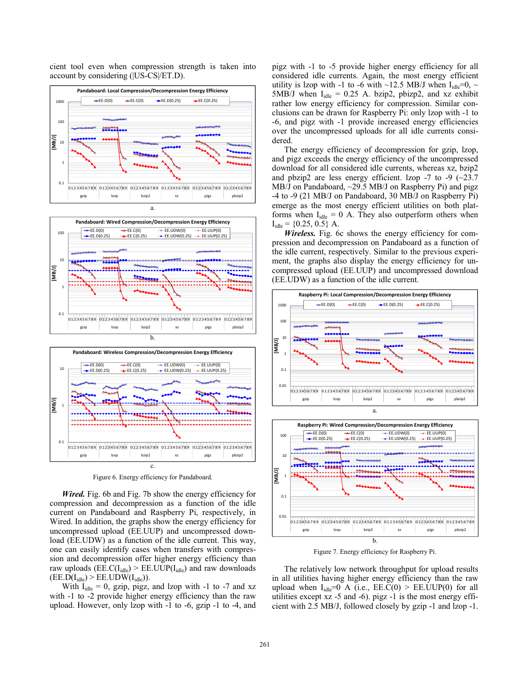cient tool even when compression strength is taken into account by considering (|US-CS|/ET.D).







Figure 6. Energy efficiency for Pandaboard.

*Wired.* Fig. 6b and Fig. 7b show the energy efficiency for compression and decompression as a function of the idle current on Pandaboard and Raspberry Pi, respectively, in Wired. In addition, the graphs show the energy efficiency for uncompressed upload (EE.UUP) and uncompressed download (EE.UDW) as a function of the idle current. This way, one can easily identify cases when transfers with compression and decompression offer higher energy efficiency than raw uploads ( $\text{EE.C(I<sub>idle</sub>)} > \text{EE.UUP(I<sub>idle</sub>)}$  and raw downloads  $(EE.D(I_{idle}) > EE.UDW(I_{idle})).$ 

With  $I_{idle} = 0$ , gzip, pigz, and lzop with -1 to -7 and xz with -1 to -2 provide higher energy efficiency than the raw upload. However, only lzop with -1 to -6, gzip -1 to -4, and pigz with -1 to -5 provide higher energy efficiency for all considered idle currents. Again, the most energy efficient utility is lzop with -1 to -6 with ~12.5 MB/J when  $I_{idle} = 0$ , ~ 5MB/J when  $I_{idle} = 0.25$  A. bzip2, pbizp2, and xz exhibit rather low energy efficiency for compression. Similar conclusions can be drawn for Raspberry Pi: only lzop with -1 to -6, and pigz with -1 provide increased energy efficiencies over the uncompressed uploads for all idle currents considered.

The energy efficiency of decompression for gzip, lzop, and pigz exceeds the energy efficiency of the uncompressed download for all considered idle currents, whereas xz, bzip2 and pbzip2 are less energy efficient. Izop  $-7$  to  $-9$  ( $\sim$ 23.7 MB/J on Pandaboard, ~29.5 MB/J on Raspberry Pi) and pigz -4 to -9 (21 MB/J on Pandaboard, 30 MB/J on Raspberry Pi) emerge as the most energy efficient utilities on both platforms when  $I_{idle} = 0$  A. They also outperform others when  $I_{idle} = \{0.25, 0.5\}$  A.

*Wireless.* Fig. 6c shows the energy efficiency for compression and decompression on Pandaboard as a function of the idle current, respectively. Similar to the previous experiment, the graphs also display the energy efficiency for uncompressed upload (EE.UUP) and uncompressed download (EE.UDW) as a function of the idle current.





Figure 7. Energy efficiency for Raspberry Pi.

The relatively low network throughput for upload results in all utilities having higher energy efficiency than the raw upload when  $I_{idle}=0$  A (i.e.,  $EE.C(0)$  >  $EE.UUP(0)$  for all utilities except xz -5 and -6). pigz -1 is the most energy efficient with 2.5 MB/J, followed closely by gzip -1 and lzop -1.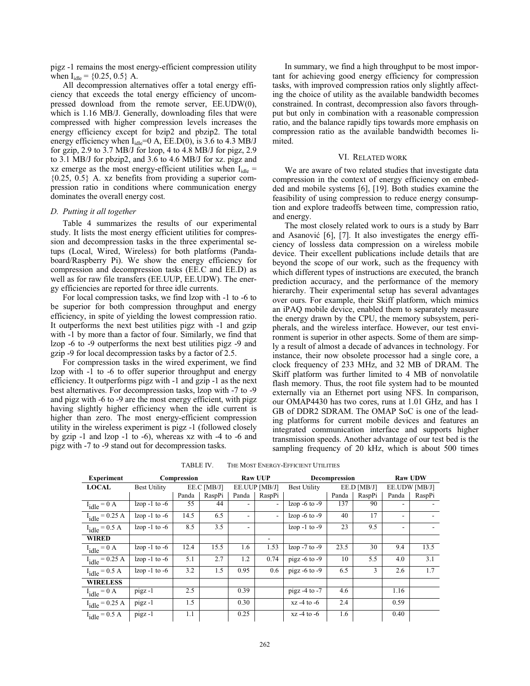pigz -1 remains the most energy-efficient compression utility when  $I_{idle} = \{0.25, 0.5\}$  A.

All decompression alternatives offer a total energy efficiency that exceeds the total energy efficiency of uncompressed download from the remote server, EE.UDW(0), which is 1.16 MB/J. Generally, downloading files that were compressed with higher compression levels increases the energy efficiency except for bzip2 and pbzip2. The total energy efficiency when  $I_{idle} = 0$  A, EE.D(0), is 3.6 to 4.3 MB/J for gzip, 2.9 to 3.7 MB/J for lzop, 4 to 4.8 MB/J for pigz, 2.9 to 3.1 MB/J for pbzip2, and 3.6 to 4.6 MB/J for xz. pigz and xz emerge as the most energy-efficient utilities when  $I_{idle}$  =  ${0.25, 0.5}$  A. xz benefits from providing a superior compression ratio in conditions where communication energy dominates the overall energy cost.

### *D. Putting it all together*

Table 4 summarizes the results of our experimental study. It lists the most energy efficient utilities for compression and decompression tasks in the three experimental setups (Local, Wired, Wireless) for both platforms (Pandaboard/Raspberry Pi). We show the energy efficiency for compression and decompression tasks (EE.C and EE.D) as well as for raw file transfers (EE.UUP, EE.UDW). The energy efficiencies are reported for three idle currents.

For local compression tasks, we find lzop with -1 to -6 to be superior for both compression throughput and energy efficiency, in spite of yielding the lowest compression ratio. It outperforms the next best utilities pigz with -1 and gzip with -1 by more than a factor of four. Similarly, we find that lzop -6 to -9 outperforms the next best utilities pigz -9 and gzip -9 for local decompression tasks by a factor of 2.5.

For compression tasks in the wired experiment, we find lzop with -1 to -6 to offer superior throughput and energy efficiency. It outperforms pigz with -1 and gzip -1 as the next best alternatives. For decompression tasks, lzop with -7 to -9 and pigz with -6 to -9 are the most energy efficient, with pigz having slightly higher efficiency when the idle current is higher than zero. The most energy-efficient compression utility in the wireless experiment is pigz -1 (followed closely by gzip -1 and lzop -1 to -6), whereas xz with -4 to -6 and pigz with -7 to -9 stand out for decompression tasks.

In summary, we find a high throughput to be most important for achieving good energy efficiency for compression tasks, with improved compression ratios only slightly affecting the choice of utility as the available bandwidth becomes constrained. In contrast, decompression also favors throughput but only in combination with a reasonable compression ratio, and the balance rapidly tips towards more emphasis on compression ratio as the available bandwidth becomes limited.

### VI. RELATED WORK

We are aware of two related studies that investigate data compression in the context of energy efficiency on embedded and mobile systems [6], [19]. Both studies examine the feasibility of using compression to reduce energy consumption and explore tradeoffs between time, compression ratio, and energy.

The most closely related work to ours is a study by Barr and Asanović [6], [7]. It also investigates the energy efficiency of lossless data compression on a wireless mobile device. Their excellent publications include details that are beyond the scope of our work, such as the frequency with which different types of instructions are executed, the branch prediction accuracy, and the performance of the memory hierarchy. Their experimental setup has several advantages over ours. For example, their Skiff platform, which mimics an iPAQ mobile device, enabled them to separately measure the energy drawn by the CPU, the memory subsystem, peripherals, and the wireless interface. However, our test environment is superior in other aspects. Some of them are simply a result of almost a decade of advances in technology. For instance, their now obsolete processor had a single core, a clock frequency of 233 MHz, and 32 MB of DRAM. The Skiff platform was further limited to 4 MB of nonvolatile flash memory. Thus, the root file system had to be mounted externally via an Ethernet port using NFS. In comparison, our OMAP4430 has two cores, runs at 1.01 GHz, and has 1 GB of DDR2 SDRAM. The OMAP SoC is one of the leading platforms for current mobile devices and features an integrated communication interface and supports higher transmission speeds. Another advantage of our test bed is the sampling frequency of 20 kHz, which is about 500 times

| <b>Experiment</b>   | Compression         |       |             | <b>Raw UUP</b>           |               | Decompression        |       |             | <b>Raw UDW</b> |               |
|---------------------|---------------------|-------|-------------|--------------------------|---------------|----------------------|-------|-------------|----------------|---------------|
| <b>LOCAL</b>        | <b>Best Utility</b> |       | EE.C [MB/J] |                          | EE.UUP [MB/J] | <b>Best Utility</b>  |       | EE.D [MB/J] |                | EE.UDW [MB/J] |
|                     |                     | Panda | RaspPi      | Panda                    | RaspPi        |                      | Panda | RaspPi      | Panda          | RaspPi        |
| $I_{idle} = 0 A$    | $l$ zop -1 to -6    | 55    | 44          | $\overline{\phantom{a}}$ | $\sim$        | $l$ zop -6 to -9     | 137   | 90          |                |               |
| $I_{idle} = 0.25 A$ | $l$ zop -1 to -6    | 14.5  | 6.5         |                          |               | $l$ zop -6 to -9     | 40    | 17          |                |               |
| $I_{idle} = 0.5 A$  | $l$ zop -1 to -6    | 8.5   | 3.5         |                          |               | $l$ zop -1 to -9     | 23    | 9.5         |                |               |
| <b>WIRED</b>        |                     |       |             |                          |               |                      |       |             |                |               |
| $I_{idle} = 0 A$    | $l$ zop -1 to -6    | 12.4  | 15.5        | 1.6                      | 1.53          | $l$ zop $-7$ to $-9$ | 23.5  | 30          | 9.4            | 13.5          |
| $I_{idle} = 0.25 A$ | $l$ zop -1 to -6    | 5.1   | 2.7         | 1.2                      | 0.74          | pigz $-6$ to $-9$    | 10    | 5.5         | 4.0            | 3.1           |
| $I_{idle} = 0.5 A$  | $l$ zop -1 to -6    | 3.2   | 1.5         | 0.95                     | 0.6           | pigz $-6$ to $-9$    | 6.5   | 3           | 2.6            | 1.7           |
| <b>WIRELESS</b>     |                     |       |             |                          |               |                      |       |             |                |               |
| $I_{idle} = 0 A$    | pigz-1              | 2.5   |             | 0.39                     |               | pigz $-4$ to $-7$    | 4.6   |             | 1.16           |               |
| $I_{idle} = 0.25 A$ | pigz-1              | 1.5   |             | 0.30                     |               | $xz - 4$ to $-6$     | 2.4   |             | 0.59           |               |
| $I_{idle} = 0.5 A$  | pigz-1              | 1.1   |             | 0.25                     |               | $xz - 4$ to $-6$     | 1.6   |             | 0.40           |               |

TABLE IV. THE MOST ENERGY-EFFICIENT UTILITIES